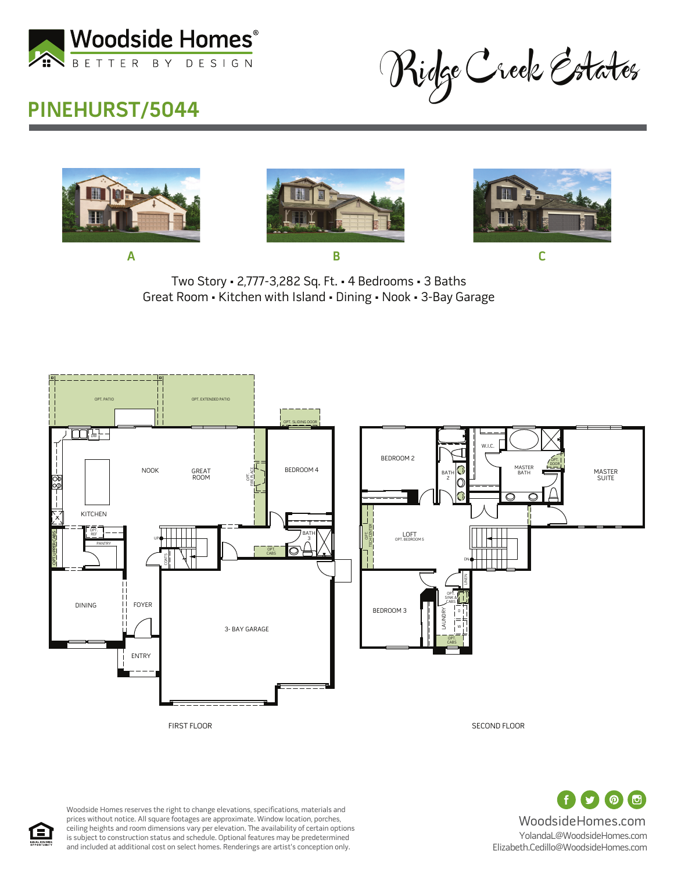

Ridge Creek Estates

## **PINEHURST/5044**







Two Story • 2,777-3,282 Sq. Ft. • 4 Bedrooms • 3 Baths Great Room • Kitchen with Island • Dining • Nook • 3-Bay Garage





Woodside Homes reserves the right to change elevations, specifications, materials and prices without notice. All square footages are approximate. Window location, porches, ceiling heights and room dimensions vary per elevation. The availability of certain options is subject to construction status and schedule. Optional features may be predetermined and included at additional cost on select homes. Renderings are artist's conception only.

 $\odot$   $\odot$ WoodsideHomes.com YolandaL@WoodsideHomes.com Elizabeth.Cedillo@WoodsideHomes.com